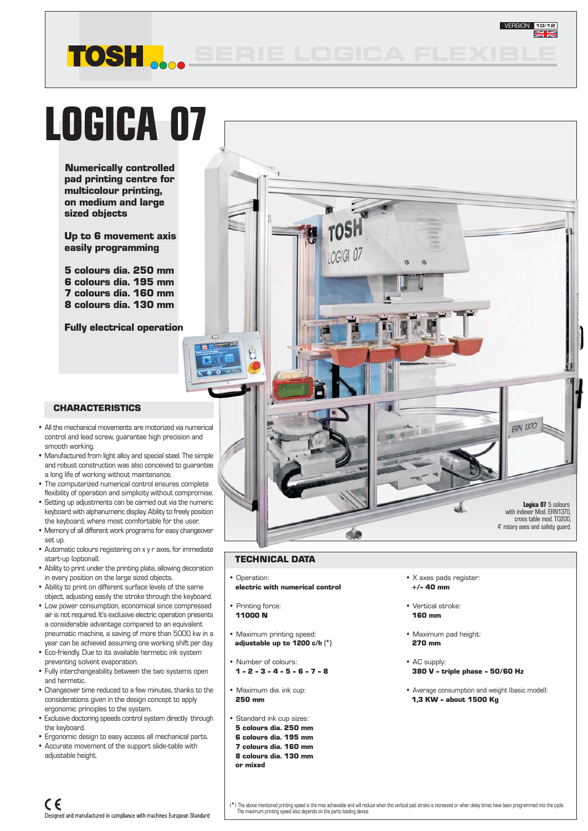# **LOGICA 07**

**TOSH** 

**Numerically controlled pad printing centre for multicolour printing, on medium and large sized objects**

**Up to 6 movement axis easily programming**

**5 colours dia. 250 mm 6 colours dia. 195 mm 7 colours dia. 160 mm 8 colours dia. 130 mm**

**Fully electrical operation**

#### **CHARACTERISTICS**

- All the mechanical movements are motorized via numerical control and lead screw, guarantee high precision and smooth working.
- Manufactured from light alloy and special steel. The simple and robust construction was also conceived to guarantee a long life of working without maintenance.
- The computerized numerical control ensures complete flexibility of operation and simplicity without compromise.
- Setting up adjustments can be carried out via the numeric keyboard with alphanumeric display. Ability to freely position the keyboard, where most comfortable for the user.
- Memory of all different work programs for easy changeover set up.
- Automatic colours registering on x y r axes, for immediate start-up (optional).
- Ability to print under the printing plate, allowing decoration in every position on the large sized objects.
- Ability to print on different surface levels of the same object, adjusting easily the stroke through the keyboard.
- Low power consumption, economical since compressed air is not required. It's exclusive electric operation presents a considerable advantage compared to an equivalent pneumatic machine, a saving of more than 5000 kw in a year can be achieved assuming one working shift per day.
- Eco-friendly. Due to its available hermetic ink system preventing solvent evaporation.
- Fully interchangeability between the two systems open and hermetic.
- Changeover time reduced to a few minutes, thanks to the considerations given in the design concept to apply ergonomic principles to the system.
- Exclusive doctoring speeds control system directly through the keyboard.
- Ergonomic design to easy access all mechanical parts. • Accurate movement of the support slide-table with
- adjustable height.



#### **TECHNICAL DATA**

• Operation:

 $\sqrt{2}$ 

- **electric with numerical control**
- Printing force:  **11000 N**
- Maximum printing speed: **adjustable up to 1200 c/h (**\*)
- Number of colours:  **1 - 2 - 3 - 4 - 5 - 6 - 7 - 8**
- Maximum dia. ink cup:  **250 mm**
- Standard ink cup sizes:
- **5 colours dia. 250 mm**
- **6 colours dia. 195 mm**
- **7 colours dia. 160 mm**
- **8 colours dia. 130 mm or mixed**
- X axes pads register:  **+/- 40 mm**
- Vertical stroke:  **160 mm**
- Maximum pad height:  **270 mm**
- AC supply:  **380 V - triple phase - 50/60 Hz**
- Average consumption and weight (basic model): **1,3 KW - about 1500 Kg**

VERSION **10/12**

(\*) The above mentioned printing speed is the max achievable and will reduce when the vertical pad stroke is increased or when delay times have been programmed into the cycle<br>The maximum printing speed also depends on the